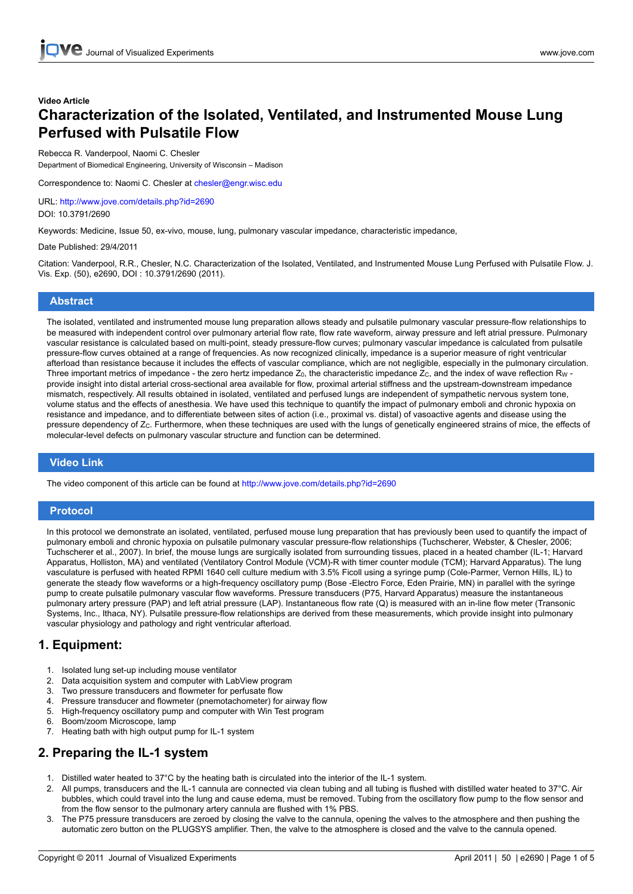# **Video Article Characterization of the Isolated, Ventilated, and Instrumented Mouse Lung Perfused with Pulsatile Flow**

### Rebecca R. Vanderpool, Naomi C. Chesler

Department of Biomedical Engineering, University of Wisconsin – Madison

Correspondence to: Naomi C. Chesler at chesler@engr.wisc.edu

URL: <http://www.jove.com/details.php?id=2690> DOI: 10.3791/2690

Keywords: Medicine, Issue 50, ex-vivo, mouse, lung, pulmonary vascular impedance, characteristic impedance,

Date Published: 29/4/2011

Citation: Vanderpool, R.R., Chesler, N.C. Characterization of the Isolated, Ventilated, and Instrumented Mouse Lung Perfused with Pulsatile Flow. J. Vis. Exp. (50), e2690, DOI : 10.3791/2690 (2011).

### **Abstract**

The isolated, ventilated and instrumented mouse lung preparation allows steady and pulsatile pulmonary vascular pressure-flow relationships to be measured with independent control over pulmonary arterial flow rate, flow rate waveform, airway pressure and left atrial pressure. Pulmonary vascular resistance is calculated based on multi-point, steady pressure-flow curves; pulmonary vascular impedance is calculated from pulsatile pressure-flow curves obtained at a range of frequencies. As now recognized clinically, impedance is a superior measure of right ventricular afterload than resistance because it includes the effects of vascular compliance, which are not negligible, especially in the pulmonary circulation. Three important metrics of impedance - the zero hertz impedance  $Z_0$ , the characteristic impedance  $Z_c$ , and the index of wave reflection R<sub>W</sub> provide insight into distal arterial cross-sectional area available for flow, proximal arterial stiffness and the upstream-downstream impedance mismatch, respectively. All results obtained in isolated, ventilated and perfused lungs are independent of sympathetic nervous system tone, volume status and the effects of anesthesia. We have used this technique to quantify the impact of pulmonary emboli and chronic hypoxia on resistance and impedance, and to differentiate between sites of action (i.e., proximal vs. distal) of vasoactive agents and disease using the pressure dependency of Z<sub>C</sub>. Furthermore, when these techniques are used with the lungs of genetically engineered strains of mice, the effects of molecular-level defects on pulmonary vascular structure and function can be determined.

## **Video Link**

The video component of this article can be found at <http://www.jove.com/details.php?id=2690>

## **Protocol**

In this protocol we demonstrate an isolated, ventilated, perfused mouse lung preparation that has previously been used to quantify the impact of pulmonary emboli and chronic hypoxia on pulsatile pulmonary vascular pressure-flow relationships (Tuchscherer, Webster, & Chesler, 2006; Tuchscherer et al., 2007). In brief, the mouse lungs are surgically isolated from surrounding tissues, placed in a heated chamber (IL-1; Harvard Apparatus, Holliston, MA) and ventilated (Ventilatory Control Module (VCM)-R with timer counter module (TCM); Harvard Apparatus). The lung vasculature is perfused with heated RPMI 1640 cell culture medium with 3.5% Ficoll using a syringe pump (Cole-Parmer, Vernon Hills, IL) to generate the steady flow waveforms or a high-frequency oscillatory pump (Bose -Electro Force, Eden Prairie, MN) in parallel with the syringe pump to create pulsatile pulmonary vascular flow waveforms. Pressure transducers (P75, Harvard Apparatus) measure the instantaneous pulmonary artery pressure (PAP) and left atrial pressure (LAP). Instantaneous flow rate (Q) is measured with an in-line flow meter (Transonic Systems, Inc., Ithaca, NY). Pulsatile pressure-flow relationships are derived from these measurements, which provide insight into pulmonary vascular physiology and pathology and right ventricular afterload.

## **1. Equipment:**

- 1. Isolated lung set-up including mouse ventilator
- 2. Data acquisition system and computer with LabView program
- 3. Two pressure transducers and flowmeter for perfusate flow
- 4. Pressure transducer and flowmeter (pnemotachometer) for airway flow
- 5. High-frequency oscillatory pump and computer with Win Test program
- 6. Boom/zoom Microscope, lamp
- 7. Heating bath with high output pump for IL-1 system

# **2. Preparing the IL-1 system**

- 1. Distilled water heated to 37°C by the heating bath is circulated into the interior of the IL-1 system.
- 2. All pumps, transducers and the IL-1 cannula are connected via clean tubing and all tubing is flushed with distilled water heated to 37°C. Air bubbles, which could travel into the lung and cause edema, must be removed. Tubing from the oscillatory flow pump to the flow sensor and from the flow sensor to the pulmonary artery cannula are flushed with 1% PBS.
- The P75 pressure transducers are zeroed by closing the valve to the cannula, opening the valves to the atmosphere and then pushing the automatic zero button on the PLUGSYS amplifier. Then, the valve to the atmosphere is closed and the valve to the cannula opened.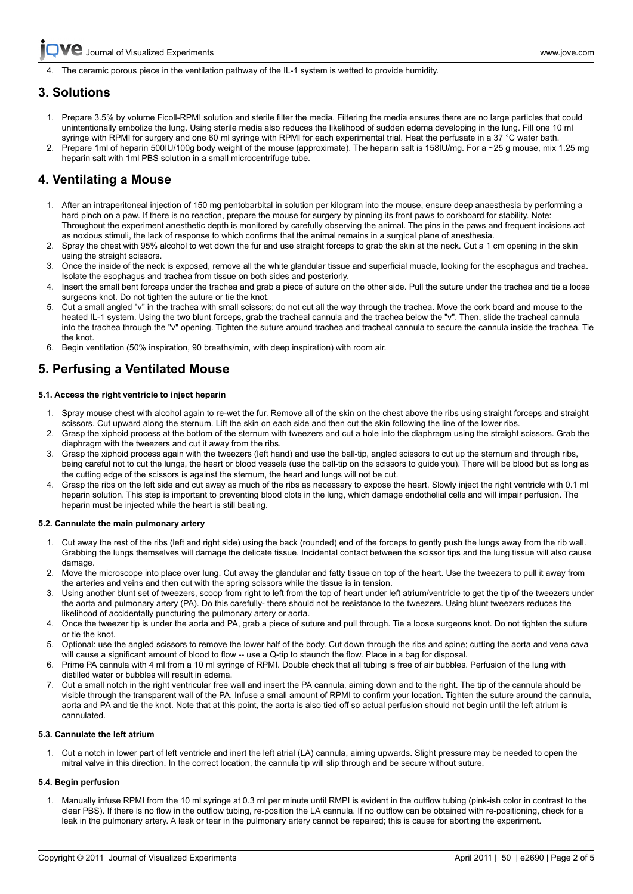The ceramic porous piece in the ventilation pathway of the IL-1 system is wetted to provide humidity.

## **3. Solutions**

- 1. Prepare 3.5% by volume Ficoll-RPMI solution and sterile filter the media. Filtering the media ensures there are no large particles that could unintentionally embolize the lung. Using sterile media also reduces the likelihood of sudden edema developing in the lung. Fill one 10 ml syringe with RPMI for surgery and one 60 ml syringe with RPMI for each experimental trial. Heat the perfusate in a 37 °C water bath.
- 2. Prepare 1ml of heparin 500IU/100g body weight of the mouse (approximate). The heparin salt is 158IU/mg. For a ~25 g mouse, mix 1.25 mg heparin salt with 1ml PBS solution in a small microcentrifuge tube.

# **4. Ventilating a Mouse**

- 1. After an intraperitoneal injection of 150 mg pentobarbital in solution per kilogram into the mouse, ensure deep anaesthesia by performing a hard pinch on a paw. If there is no reaction, prepare the mouse for surgery by pinning its front paws to corkboard for stability. Note: Throughout the experiment anesthetic depth is monitored by carefully observing the animal. The pins in the paws and frequent incisions act as noxious stimuli, the lack of response to which confirms that the animal remains in a surgical plane of anesthesia.
- 2. Spray the chest with 95% alcohol to wet down the fur and use straight forceps to grab the skin at the neck. Cut a 1 cm opening in the skin using the straight scissors.
- 3. Once the inside of the neck is exposed, remove all the white glandular tissue and superficial muscle, looking for the esophagus and trachea. Isolate the esophagus and trachea from tissue on both sides and posteriorly.
- 4. Insert the small bent forceps under the trachea and grab a piece of suture on the other side. Pull the suture under the trachea and tie a loose surgeons knot. Do not tighten the suture or tie the knot.
- 5. Cut a small angled "v" in the trachea with small scissors; do not cut all the way through the trachea. Move the cork board and mouse to the heated IL-1 system. Using the two blunt forceps, grab the tracheal cannula and the trachea below the "v". Then, slide the tracheal cannula into the trachea through the "v" opening. Tighten the suture around trachea and tracheal cannula to secure the cannula inside the trachea. Tie the knot.
- 6. Begin ventilation (50% inspiration, 90 breaths/min, with deep inspiration) with room air.

## **5. Perfusing a Ventilated Mouse**

## **5.1. Access the right ventricle to inject heparin**

- 1. Spray mouse chest with alcohol again to re-wet the fur. Remove all of the skin on the chest above the ribs using straight forceps and straight scissors. Cut upward along the sternum. Lift the skin on each side and then cut the skin following the line of the lower ribs.
- 2. Grasp the xiphoid process at the bottom of the sternum with tweezers and cut a hole into the diaphragm using the straight scissors. Grab the diaphragm with the tweezers and cut it away from the ribs.
- 3. Grasp the xiphoid process again with the tweezers (left hand) and use the ball-tip, angled scissors to cut up the sternum and through ribs, being careful not to cut the lungs, the heart or blood vessels (use the ball-tip on the scissors to guide you). There will be blood but as long as the cutting edge of the scissors is against the sternum, the heart and lungs will not be cut.
- 4. Grasp the ribs on the left side and cut away as much of the ribs as necessary to expose the heart. Slowly inject the right ventricle with 0.1 ml heparin solution. This step is important to preventing blood clots in the lung, which damage endothelial cells and will impair perfusion. The heparin must be injected while the heart is still beating.

## **5.2. Cannulate the main pulmonary artery**

- 1. Cut away the rest of the ribs (left and right side) using the back (rounded) end of the forceps to gently push the lungs away from the rib wall. Grabbing the lungs themselves will damage the delicate tissue. Incidental contact between the scissor tips and the lung tissue will also cause damage.
- 2. Move the microscope into place over lung. Cut away the glandular and fatty tissue on top of the heart. Use the tweezers to pull it away from the arteries and veins and then cut with the spring scissors while the tissue is in tension.
- 3. Using another blunt set of tweezers, scoop from right to left from the top of heart under left atrium/ventricle to get the tip of the tweezers under the aorta and pulmonary artery (PA). Do this carefully- there should not be resistance to the tweezers. Using blunt tweezers reduces the likelihood of accidentally puncturing the pulmonary artery or aorta.
- 4. Once the tweezer tip is under the aorta and PA, grab a piece of suture and pull through. Tie a loose surgeons knot. Do not tighten the suture or tie the knot.
- 5. Optional: use the angled scissors to remove the lower half of the body. Cut down through the ribs and spine; cutting the aorta and vena cava will cause a significant amount of blood to flow -- use a Q-tip to staunch the flow. Place in a bag for disposal.
- 6. Prime PA cannula with 4 ml from a 10 ml syringe of RPMI. Double check that all tubing is free of air bubbles. Perfusion of the lung with distilled water or bubbles will result in edema.
- 7. Cut a small notch in the right ventricular free wall and insert the PA cannula, aiming down and to the right. The tip of the cannula should be visible through the transparent wall of the PA. Infuse a small amount of RPMI to confirm your location. Tighten the suture around the cannula, aorta and PA and tie the knot. Note that at this point, the aorta is also tied off so actual perfusion should not begin until the left atrium is cannulated.

## **5.3. Cannulate the left atrium**

1. Cut a notch in lower part of left ventricle and inert the left atrial (LA) cannula, aiming upwards. Slight pressure may be needed to open the mitral valve in this direction. In the correct location, the cannula tip will slip through and be secure without suture.

## **5.4. Begin perfusion**

1. Manually infuse RPMI from the 10 ml syringe at 0.3 ml per minute until RMPI is evident in the outflow tubing (pink-ish color in contrast to the clear PBS). If there is no flow in the outflow tubing, re-position the LA cannula. If no outflow can be obtained with re-positioning, check for a leak in the pulmonary artery. A leak or tear in the pulmonary artery cannot be repaired; this is cause for aborting the experiment.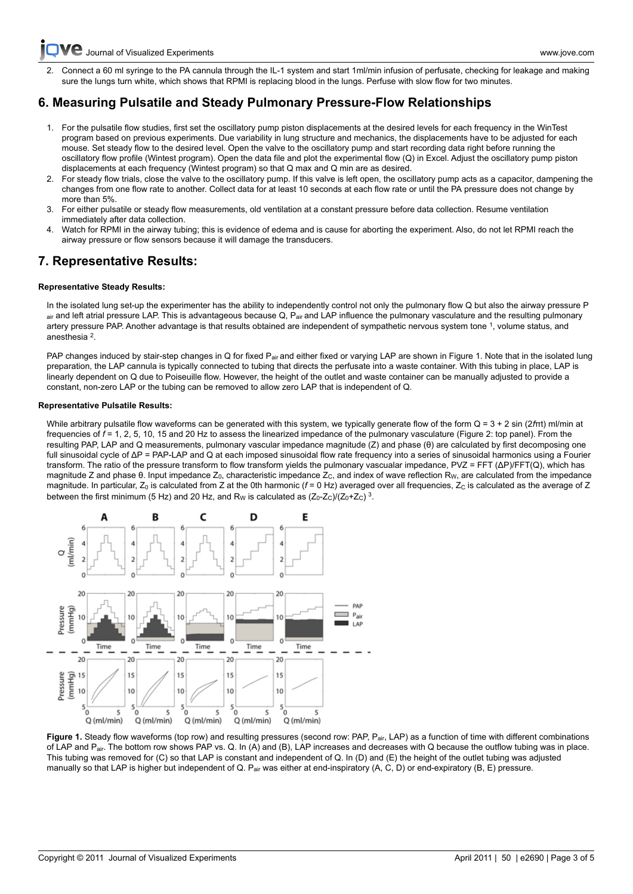[Journal of Visualized Experiments www.jove.com](http://www.jove.com)

[2. Conne](http://www.jove.com)ct a 60 ml syringe to the PA cannula through the IL-1 system and start 1ml/min infusion of perfusate, checking for leakage and making sure the lungs turn white, which shows that RPMI is replacing blood in the lungs. Perfuse with slow flow for two minutes.

# **6. Measuring Pulsatile and Steady Pulmonary Pressure-Flow Relationships**

- 1. For the pulsatile flow studies, first set the oscillatory pump piston displacements at the desired levels for each frequency in the WinTest program based on previous experiments. Due variability in lung structure and mechanics, the displacements have to be adjusted for each mouse. Set steady flow to the desired level. Open the valve to the oscillatory pump and start recording data right before running the oscillatory flow profile (Wintest program). Open the data file and plot the experimental flow (Q) in Excel. Adjust the oscillatory pump piston displacements at each frequency (Wintest program) so that Q max and Q min are as desired.
- 2. For steady flow trials, close the valve to the oscillatory pump. If this valve is left open, the oscillatory pump acts as a capacitor, dampening the changes from one flow rate to another. Collect data for at least 10 seconds at each flow rate or until the PA pressure does not change by more than 5%.
- 3. For either pulsatile or steady flow measurements, old ventilation at a constant pressure before data collection. Resume ventilation immediately after data collection.
- Watch for RPMI in the airway tubing; this is evidence of edema and is cause for aborting the experiment. Also, do not let RPMI reach the airway pressure or flow sensors because it will damage the transducers.

## **7. Representative Results:**

## **Representative Steady Results:**

In the isolated lung set-up the experimenter has the ability to independently control not only the pulmonary flow Q but also the airway pressure P air and left atrial pressure LAP. This is advantageous because Q, Pair and LAP influence the pulmonary vasculature and the resulting pulmonary artery pressure PAP. Another advantage is that results obtained are independent of sympathetic nervous system tone <sup>1</sup>, volume status, and anesthesia<sup>2</sup>.

PAP changes induced by stair-step changes in Q for fixed P<sub>air</sub> and either fixed or varying LAP are shown in Figure 1. Note that in the isolated lung preparation, the LAP cannula is typically connected to tubing that directs the perfusate into a waste container. With this tubing in place, LAP is linearly dependent on Q due to Poiseuille flow. However, the height of the outlet and waste container can be manually adjusted to provide a constant, non-zero LAP or the tubing can be removed to allow zero LAP that is independent of Q.

### **Representative Pulsatile Results:**

While arbitrary pulsatile flow waveforms can be generated with this system, we typically generate flow of the form Q = 3 + 2 sin (2*f*πt) ml/min at frequencies of *f* = 1, 2, 5, 10, 15 and 20 Hz to assess the linearized impedance of the pulmonary vasculature (Figure 2: top panel). From the resulting PAP, LAP and Q measurements, pulmonary vascular impedance magnitude (Z) and phase (θ) are calculated by first decomposing one full sinusoidal cycle of ΔP = PAP-LAP and Q at each imposed sinusoidal flow rate frequency into a series of sinusoidal harmonics using a Fourier transform. The ratio of the pressure transform to flow transform yields the pulmonary vascualar impedance, PVZ = FFT (ΔP)/FFT(Q), which has magnitude Z and phase θ. Input impedance Z<sub>0</sub>, characteristic impedance Z<sub>C</sub>, and index of wave reflection R<sub>W</sub>, are calculated from the impedance magnitude. In particular,  $Z_0$  is calculated from Z at the 0th harmonic ( $f = 0$  Hz) averaged over all frequencies,  $Z_C$  is calculated as the average of Z between the first minimum (5 Hz) and 20 Hz, and R<sub>W</sub> is calculated as  $(Z_0-Z_C)/(Z_0+Z_C)^3$ .



Figure 1. Steady flow waveforms (top row) and resulting pressures (second row: PAP, P<sub>air,</sub> LAP) as a function of time with different combinations of LAP and Pair. The bottom row shows PAP vs. Q. In (A) and (B), LAP increases and decreases with Q because the outflow tubing was in place. This tubing was removed for (C) so that LAP is constant and independent of Q. In (D) and (E) the height of the outlet tubing was adjusted manually so that LAP is higher but independent of Q. P<sub>air</sub> was either at end-inspiratory (A, C, D) or end-expiratory (B, E) pressure.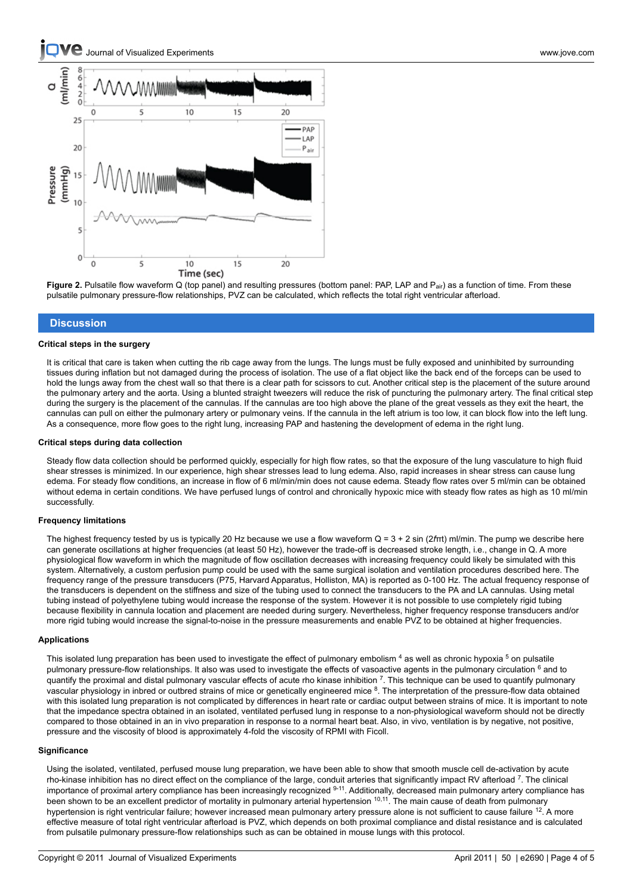

**Figure 2.** Pulsatile flow waveform Q (top panel) and resulting pressures (bottom panel: PAP, LAP and P<sub>air</sub>) as a function of time. From these pulsatile pulmonary pressure-flow relationships, PVZ can be calculated, which reflects the total right ventricular afterload.

### **Discussion**

#### **Critical steps in the surgery**

It is critical that care is taken when cutting the rib cage away from the lungs. The lungs must be fully exposed and uninhibited by surrounding tissues during inflation but not damaged during the process of isolation. The use of a flat object like the back end of the forceps can be used to hold the lungs away from the chest wall so that there is a clear path for scissors to cut. Another critical step is the placement of the suture around the pulmonary artery and the aorta. Using a blunted straight tweezers will reduce the risk of puncturing the pulmonary artery. The final critical step during the surgery is the placement of the cannulas. If the cannulas are too high above the plane of the great vessels as they exit the heart, the cannulas can pull on either the pulmonary artery or pulmonary veins. If the cannula in the left atrium is too low, it can block flow into the left lung. As a consequence, more flow goes to the right lung, increasing PAP and hastening the development of edema in the right lung.

#### **Critical steps during data collection**

Steady flow data collection should be performed quickly, especially for high flow rates, so that the exposure of the lung vasculature to high fluid shear stresses is minimized. In our experience, high shear stresses lead to lung edema. Also, rapid increases in shear stress can cause lung edema. For steady flow conditions, an increase in flow of 6 ml/min/min does not cause edema. Steady flow rates over 5 ml/min can be obtained without edema in certain conditions. We have perfused lungs of control and chronically hypoxic mice with steady flow rates as high as 10 ml/min successfully.

#### **Frequency limitations**

The highest frequency tested by us is typically 20 Hz because we use a flow waveform Q = 3 + 2 sin (2*f*πt) ml/min. The pump we describe here can generate oscillations at higher frequencies (at least 50 Hz), however the trade-off is decreased stroke length, i.e., change in Q. A more physiological flow waveform in which the magnitude of flow oscillation decreases with increasing frequency could likely be simulated with this system. Alternatively, a custom perfusion pump could be used with the same surgical isolation and ventilation procedures described here. The frequency range of the pressure transducers (P75, Harvard Apparatus, Holliston, MA) is reported as 0-100 Hz. The actual frequency response of the transducers is dependent on the stiffness and size of the tubing used to connect the transducers to the PA and LA cannulas. Using metal tubing instead of polyethylene tubing would increase the response of the system. However it is not possible to use completely rigid tubing because flexibility in cannula location and placement are needed during surgery. Nevertheless, higher frequency response transducers and/or more rigid tubing would increase the signal-to-noise in the pressure measurements and enable PVZ to be obtained at higher frequencies.

### **Applications**

This isolated lung preparation has been used to investigate the effect of pulmonary embolism <sup>4</sup> as well as chronic hypoxia <sup>5</sup> on pulsatile pulmonary pressure-flow relationships. It also was used to investigate the effects of vasoactive agents in the pulmonary circulation <sup>6</sup> and to quantify the proximal and distal pulmonary vascular effects of acute rho kinase inhibition 7. This technique can be used to quantify pulmonary vascular physiology in inbred or outbred strains of mice or genetically engineered mice <sup>8</sup>. The interpretation of the pressure-flow data obtained with this isolated lung preparation is not complicated by differences in heart rate or cardiac output between strains of mice. It is important to note that the impedance spectra obtained in an isolated, ventilated perfused lung in response to a non-physiological waveform should not be directly compared to those obtained in an in vivo preparation in response to a normal heart beat. Also, in vivo, ventilation is by negative, not positive, pressure and the viscosity of blood is approximately 4-fold the viscosity of RPMI with Ficoll.

### **Significance**

Using the isolated, ventilated, perfused mouse lung preparation, we have been able to show that smooth muscle cell de-activation by acute rho-kinase inhibition has no direct effect on the compliance of the large, conduit arteries that significantly impact RV afterload <sup>7</sup>. The clinical importance of proximal artery compliance has been increasingly recognized 9-11. Additionally, decreased main pulmonary artery compliance has been shown to be an excellent predictor of mortality in pulmonary arterial hypertension <sup>10,11</sup>. The main cause of death from pulmonary hypertension is right ventricular failure; however increased mean pulmonary artery pressure alone is not sufficient to cause failure <sup>12</sup>. A more effective measure of total right ventricular afterload is PVZ, which depends on both proximal compliance and distal resistance and is calculated from pulsatile pulmonary pressure-flow relationships such as can be obtained in mouse lungs with this protocol.